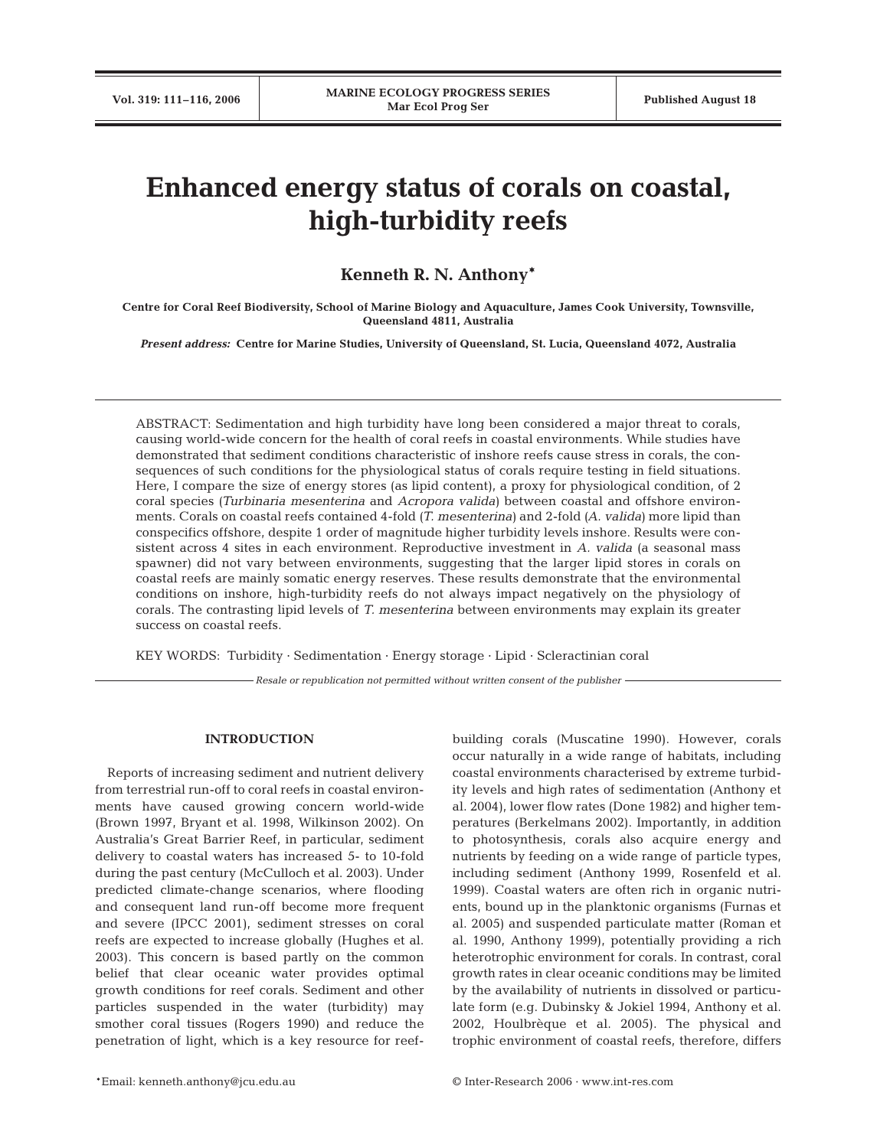# **Enhanced energy status of corals on coastal, high-turbidity reefs**

# **Kenneth R. N. Anthony\***

**Centre for Coral Reef Biodiversity, School of Marine Biology and Aquaculture, James Cook University, Townsville, Queensland 4811, Australia**

*Present address:* **Centre for Marine Studies, University of Queensland, St. Lucia, Queensland 4072, Australia**

ABSTRACT: Sedimentation and high turbidity have long been considered a major threat to corals, causing world-wide concern for the health of coral reefs in coastal environments. While studies have demonstrated that sediment conditions characteristic of inshore reefs cause stress in corals, the consequences of such conditions for the physiological status of corals require testing in field situations. Here, I compare the size of energy stores (as lipid content), a proxy for physiological condition, of 2 coral species *(Turbinaria mesenterina* and *Acropora valida)* between coastal and offshore environments. Corals on coastal reefs contained 4-fold *(T. mesenterina)* and 2-fold *(A. valida)* more lipid than conspecifics offshore, despite 1 order of magnitude higher turbidity levels inshore. Results were consistent across 4 sites in each environment. Reproductive investment in *A. valida* (a seasonal mass spawner) did not vary between environments, suggesting that the larger lipid stores in corals on coastal reefs are mainly somatic energy reserves. These results demonstrate that the environmental conditions on inshore, high-turbidity reefs do not always impact negatively on the physiology of corals. The contrasting lipid levels of *T. mesenterina* between environments may explain its greater success on coastal reefs.

KEY WORDS: Turbidity · Sedimentation · Energy storage · Lipid · Scleractinian coral

*Resale or republication not permitted without written consent of the publisher*

### **INTRODUCTION**

Reports of increasing sediment and nutrient delivery from terrestrial run-off to coral reefs in coastal environments have caused growing concern world-wide (Brown 1997, Bryant et al. 1998, Wilkinson 2002). On Australia's Great Barrier Reef, in particular, sediment delivery to coastal waters has increased 5- to 10-fold during the past century (McCulloch et al. 2003). Under predicted climate-change scenarios, where flooding and consequent land run-off become more frequent and severe (IPCC 2001), sediment stresses on coral reefs are expected to increase globally (Hughes et al. 2003). This concern is based partly on the common belief that clear oceanic water provides optimal growth conditions for reef corals. Sediment and other particles suspended in the water (turbidity) may smother coral tissues (Rogers 1990) and reduce the penetration of light, which is a key resource for reefbuilding corals (Muscatine 1990). However, corals occur naturally in a wide range of habitats, including coastal environments characterised by extreme turbidity levels and high rates of sedimentation (Anthony et al. 2004), lower flow rates (Done 1982) and higher temperatures (Berkelmans 2002). Importantly, in addition to photosynthesis, corals also acquire energy and nutrients by feeding on a wide range of particle types, including sediment (Anthony 1999, Rosenfeld et al. 1999). Coastal waters are often rich in organic nutrients, bound up in the planktonic organisms (Furnas et al. 2005) and suspended particulate matter (Roman et al. 1990, Anthony 1999), potentially providing a rich heterotrophic environment for corals. In contrast, coral growth rates in clear oceanic conditions may be limited by the availability of nutrients in dissolved or particulate form (e.g. Dubinsky & Jokiel 1994, Anthony et al. 2002, Houlbrèque et al. 2005). The physical and trophic environment of coastal reefs, therefore, differs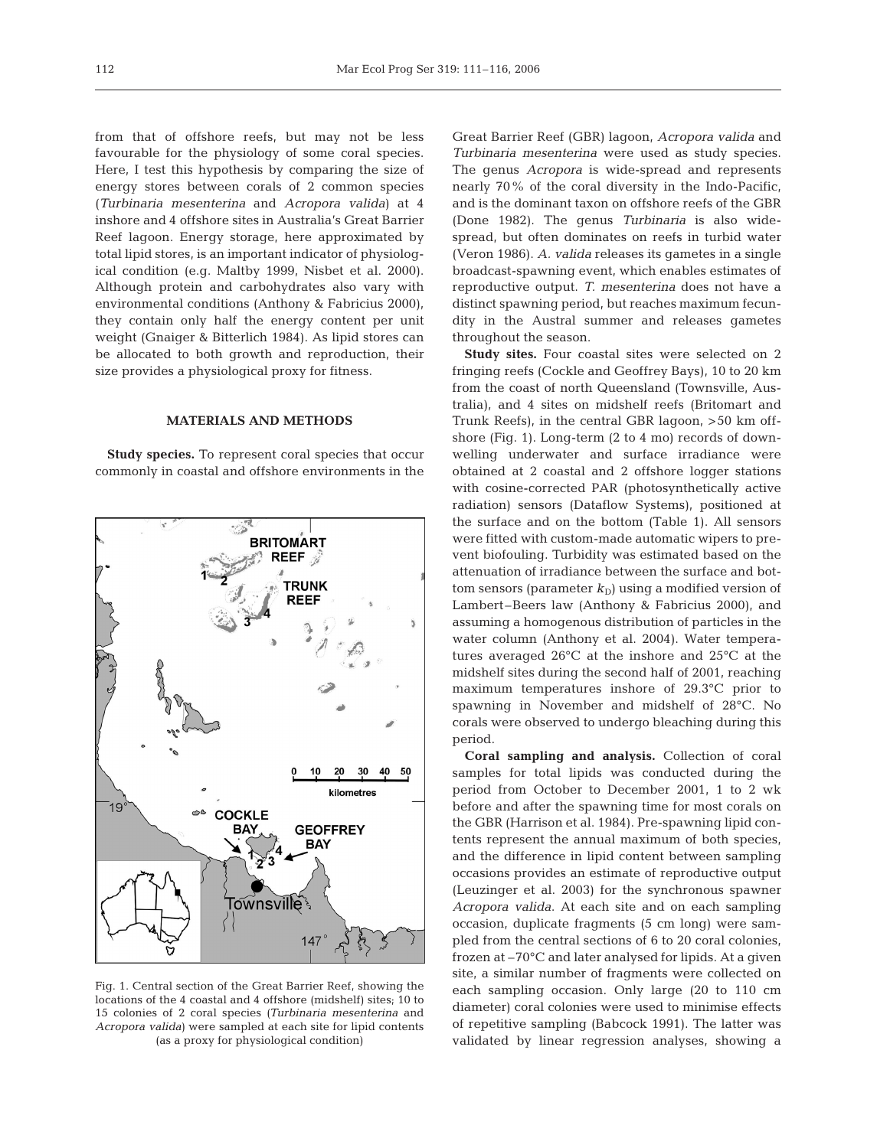from that of offshore reefs, but may not be less favourable for the physiology of some coral species. Here, I test this hypothesis by comparing the size of energy stores between corals of 2 common species (*Turbinaria mesenterina* and *Acropora valida*) at 4 inshore and 4 offshore sites in Australia's Great Barrier Reef lagoon. Energy storage, here approximated by total lipid stores, is an important indicator of physiological condition (e.g. Maltby 1999, Nisbet et al. 2000). Although protein and carbohydrates also vary with environmental conditions (Anthony & Fabricius 2000), they contain only half the energy content per unit weight (Gnaiger & Bitterlich 1984). As lipid stores can be allocated to both growth and reproduction, their size provides a physiological proxy for fitness.

### **MATERIALS AND METHODS**

**Study species.** To represent coral species that occur commonly in coastal and offshore environments in the



Fig. 1. Central section of the Great Barrier Reef, showing the locations of the 4 coastal and 4 offshore (midshelf) sites; 10 to 15 colonies of 2 coral species *(Turbinaria mesenterina* and *Acropora valida)* were sampled at each site for lipid contents (as a proxy for physiological condition)

Great Barrier Reef (GBR) lagoon, *Acropora valida* and *Turbinaria mesenterina* were used as study species. The genus *Acropora* is wide-spread and represents nearly 70% of the coral diversity in the Indo-Pacific, and is the dominant taxon on offshore reefs of the GBR (Done 1982). The genus *Turbinaria* is also widespread, but often dominates on reefs in turbid water (Veron 1986). *A. valida* releases its gametes in a single broadcast-spawning event, which enables estimates of reproductive output. *T. mesenterina* does not have a distinct spawning period, but reaches maximum fecundity in the Austral summer and releases gametes throughout the season.

**Study sites.** Four coastal sites were selected on 2 fringing reefs (Cockle and Geoffrey Bays), 10 to 20 km from the coast of north Queensland (Townsville, Australia), and 4 sites on midshelf reefs (Britomart and Trunk Reefs), in the central GBR lagoon, >50 km offshore (Fig. 1). Long-term (2 to 4 mo) records of downwelling underwater and surface irradiance were obtained at 2 coastal and 2 offshore logger stations with cosine-corrected PAR (photosynthetically active radiation) sensors (Dataflow Systems), positioned at the surface and on the bottom (Table 1). All sensors were fitted with custom-made automatic wipers to prevent biofouling. Turbidity was estimated based on the attenuation of irradiance between the surface and bottom sensors (parameter  $k_D$ ) using a modified version of Lambert–Beers law (Anthony & Fabricius 2000), and assuming a homogenous distribution of particles in the water column (Anthony et al. 2004). Water temperatures averaged 26°C at the inshore and 25°C at the midshelf sites during the second half of 2001, reaching maximum temperatures inshore of 29.3°C prior to spawning in November and midshelf of 28°C. No corals were observed to undergo bleaching during this period.

**Coral sampling and analysis.** Collection of coral samples for total lipids was conducted during the period from October to December 2001, 1 to 2 wk before and after the spawning time for most corals on the GBR (Harrison et al. 1984). Pre-spawning lipid contents represent the annual maximum of both species, and the difference in lipid content between sampling occasions provides an estimate of reproductive output (Leuzinger et al. 2003) for the synchronous spawner *Acropora valida*. At each site and on each sampling occasion, duplicate fragments (5 cm long) were sampled from the central sections of 6 to 20 coral colonies, frozen at –70°C and later analysed for lipids. At a given site, a similar number of fragments were collected on each sampling occasion. Only large (20 to 110 cm diameter) coral colonies were used to minimise effects of repetitive sampling (Babcock 1991). The latter was validated by linear regression analyses, showing a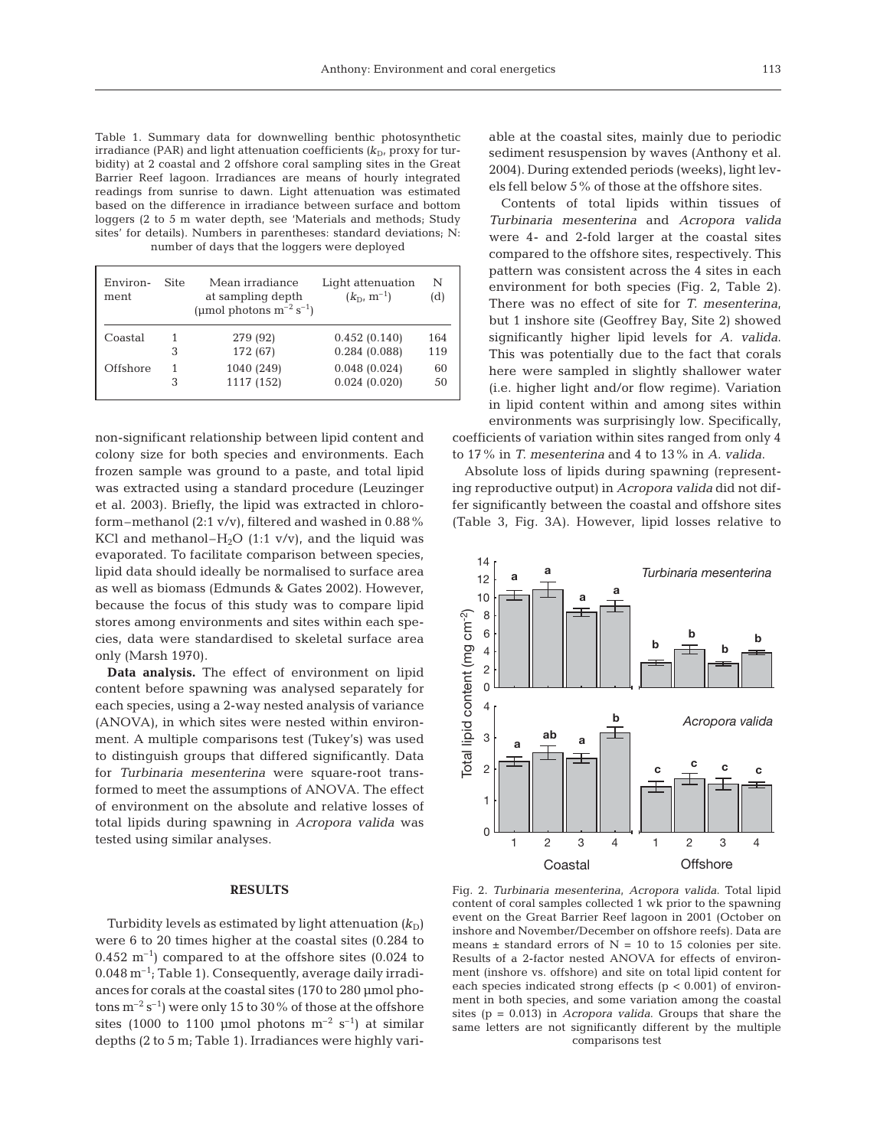Table 1. Summary data for downwelling benthic photosynthetic irradiance (PAR) and light attenuation coefficients  $(k_D)$ , proxy for turbidity) at 2 coastal and 2 offshore coral sampling sites in the Great Barrier Reef lagoon. Irradiances are means of hourly integrated readings from sunrise to dawn. Light attenuation was estimated based on the difference in irradiance between surface and bottom loggers (2 to 5 m water depth, see 'Materials and methods; Study sites' for details). Numbers in parentheses: standard deviations; N: number of days that the loggers were deployed

| Environ-<br>ment | Site | Mean irradiance<br>at sampling depth<br>(µmol photons $m^{-2}$ s <sup>-1</sup> ) | Light attenuation<br>$(k_{\rm D}, m^{-1})$ | N<br>(d) |
|------------------|------|----------------------------------------------------------------------------------|--------------------------------------------|----------|
| Coastal          | 1    | 279 (92)                                                                         | 0.452(0.140)                               | 164      |
|                  | 3    | 172 (67)                                                                         | 0.284(0.088)                               | 119      |
| Offshore         | 1    | 1040 (249)                                                                       | 0.048(0.024)                               | 60       |
|                  | 3    | 1117 (152)                                                                       | 0.024(0.020)                               | 50       |

non-significant relationship between lipid content and colony size for both species and environments. Each frozen sample was ground to a paste, and total lipid was extracted using a standard procedure (Leuzinger et al. 2003). Briefly, the lipid was extracted in chloroform–methanol (2:1 v/v), filtered and washed in 0.88% KCl and methanol– $H_2O$  (1:1 v/v), and the liquid was evaporated. To facilitate comparison between species, lipid data should ideally be normalised to surface area as well as biomass (Edmunds & Gates 2002). However, because the focus of this study was to compare lipid stores among environments and sites within each species, data were standardised to skeletal surface area only (Marsh 1970).

**Data analysis.** The effect of environment on lipid content before spawning was analysed separately for each species, using a 2-way nested analysis of variance (ANOVA), in which sites were nested within environment. A multiple comparisons test (Tukey's) was used to distinguish groups that differed significantly. Data for *Turbinaria mesenterina* were square-root transformed to meet the assumptions of ANOVA. The effect of environment on the absolute and relative losses of total lipids during spawning in *Acropora valida* was tested using similar analyses.

## **RESULTS**

Turbidity levels as estimated by light attenuation  $(k_D)$ were 6 to 20 times higher at the coastal sites (0.284 to  $0.452 \text{ m}^{-1}$ ) compared to at the offshore sites (0.024 to  $0.048 \,\mathrm{m}^{-1}$ ; Table 1). Consequently, average daily irradiances for corals at the coastal sites (170 to 280 µmol photons  $m^{-2} s^{-1}$ ) were only 15 to 30% of those at the offshore sites (1000 to 1100 µmol photons  $m^{-2}$  s<sup>-1</sup>) at similar depths (2 to 5 m; Table 1). Irradiances were highly variable at the coastal sites, mainly due to periodic sediment resuspension by waves (Anthony et al. 2004). During extended periods (weeks), light levels fell below 5% of those at the offshore sites.

Contents of total lipids within tissues of *Turbinaria mesenterina* and *Acropora valida* were 4- and 2-fold larger at the coastal sites compared to the offshore sites, respectively. This pattern was consistent across the 4 sites in each environment for both species (Fig. 2, Table 2). There was no effect of site for *T. mesenterina*, but 1 inshore site (Geoffrey Bay, Site 2) showed significantly higher lipid levels for *A. valida*. This was potentially due to the fact that corals here were sampled in slightly shallower water (i.e. higher light and/or flow regime). Variation in lipid content within and among sites within environments was surprisingly low. Specifically, coefficients of variation within sites ranged from only 4 to 17% in *T. mesenterina* and 4 to 13% in *A. valida*.

Absolute loss of lipids during spawning (representing reproductive output) in *Acropora valida* did not differ significantly between the coastal and offshore sites (Table 3, Fig. 3A). However, lipid losses relative to



Fig. 2. *Turbinaria mesenterina*, *Acropora valida*. Total lipid content of coral samples collected 1 wk prior to the spawning event on the Great Barrier Reef lagoon in 2001 (October on inshore and November/December on offshore reefs). Data are means  $\pm$  standard errors of N = 10 to 15 colonies per site. Results of a 2-factor nested ANOVA for effects of environment (inshore vs. offshore) and site on total lipid content for each species indicated strong effects ( $p < 0.001$ ) of environment in both species, and some variation among the coastal sites (p = 0.013) in *Acropora valida*. Groups that share the same letters are not significantly different by the multiple comparisons test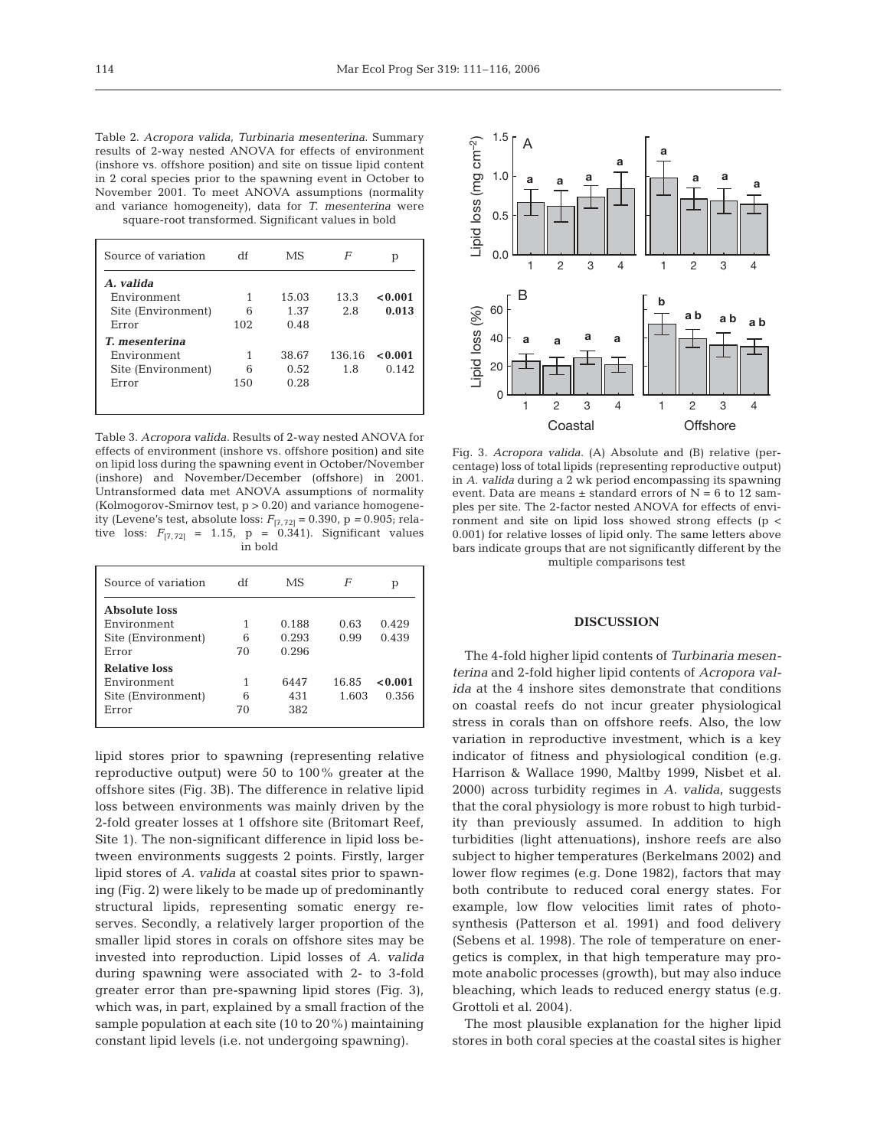Table 2. *Acropora valida*, *Turbinaria mesenterina*. Summary results of 2-way nested ANOVA for effects of environment (inshore vs. offshore position) and site on tissue lipid content in 2 coral species prior to the spawning event in October to November 2001. To meet ANOVA assumptions (normality and variance homogeneity), data for *T. mesenterina* were square-root transformed. Significant values in bold

| Source of variation | df   | MS     | F      | р       |
|---------------------|------|--------|--------|---------|
| A. valida           |      |        |        |         |
| Environment         | 1    | 1.5.03 | 13.3   | < 0.001 |
| Site (Environment)  | հ    | 1.37   | 2.8    | 0.013   |
| Error               | 102  | 0.48   |        |         |
| T. mesenterina      |      |        |        |         |
| Environment         | 1    | 38.67  | 136.16 | < 0.001 |
| Site (Environment)  | 6    | 0.52   | 1.8    | 0.142   |
| Error               | 1.50 | 0.28   |        |         |
|                     |      |        |        |         |
|                     |      |        |        |         |

Table 3. *Acropora valida.* Results of 2-way nested ANOVA for effects of environment (inshore vs. offshore position) and site on lipid loss during the spawning event in October/November (inshore) and November/December (offshore) in 2001. Untransformed data met ANOVA assumptions of normality (Kolmogorov-Smirnov test, p > 0.20) and variance homogeneity (Levene's test, absolute loss:  $F_{[7, 72]} = 0.390$ , p = 0.905; relative loss:  $F_{[7, 72]} = 1.15$ ,  $p = 0.341$ ). Significant values in bold

| Source of variation  | df | МS    | F     | р       |
|----------------------|----|-------|-------|---------|
| <b>Absolute loss</b> |    |       |       |         |
| Environment          | 1  | 0.188 | 0.63  | 0.429   |
| Site (Environment)   | 6  | 0.293 | 0.99  | 0.439   |
| Error                | 70 | 0.296 |       |         |
| <b>Relative loss</b> |    |       |       |         |
| Environment          | 1  | 6447  | 16.85 | < 0.001 |
| Site (Environment)   | 6  | 431   | 1.603 | 0.356   |
| Error                | 70 | 382   |       |         |
|                      |    |       |       |         |

lipid stores prior to spawning (representing relative reproductive output) were 50 to 100% greater at the offshore sites (Fig. 3B). The difference in relative lipid loss between environments was mainly driven by the 2-fold greater losses at 1 offshore site (Britomart Reef, Site 1). The non-significant difference in lipid loss between environments suggests 2 points. Firstly, larger lipid stores of *A. valida* at coastal sites prior to spawning (Fig. 2) were likely to be made up of predominantly structural lipids, representing somatic energy reserves. Secondly, a relatively larger proportion of the smaller lipid stores in corals on offshore sites may be invested into reproduction. Lipid losses of *A. valida* during spawning were associated with 2- to 3-fold greater error than pre-spawning lipid stores (Fig. 3), which was, in part, explained by a small fraction of the sample population at each site (10 to 20%) maintaining constant lipid levels (i.e. not undergoing spawning).



Fig. 3. *Acropora valida*. (A) Absolute and (B) relative (percentage) loss of total lipids (representing reproductive output) in *A. valida* during a 2 wk period encompassing its spawning event. Data are means  $\pm$  standard errors of N = 6 to 12 samples per site. The 2-factor nested ANOVA for effects of environment and site on lipid loss showed strong effects ( $p <$ 0.001) for relative losses of lipid only. The same letters above bars indicate groups that are not significantly different by the multiple comparisons test

#### **DISCUSSION**

The 4-fold higher lipid contents of *Turbinaria mesenterina* and 2-fold higher lipid contents of *Acropora valida* at the 4 inshore sites demonstrate that conditions on coastal reefs do not incur greater physiological stress in corals than on offshore reefs. Also, the low variation in reproductive investment, which is a key indicator of fitness and physiological condition (e.g. Harrison & Wallace 1990, Maltby 1999, Nisbet et al. 2000) across turbidity regimes in *A. valida*, suggests that the coral physiology is more robust to high turbidity than previously assumed. In addition to high turbidities (light attenuations), inshore reefs are also subject to higher temperatures (Berkelmans 2002) and lower flow regimes (e.g. Done 1982), factors that may both contribute to reduced coral energy states. For example, low flow velocities limit rates of photosynthesis (Patterson et al. 1991) and food delivery (Sebens et al. 1998). The role of temperature on energetics is complex, in that high temperature may promote anabolic processes (growth), but may also induce bleaching, which leads to reduced energy status (e.g. Grottoli et al. 2004).

The most plausible explanation for the higher lipid stores in both coral species at the coastal sites is higher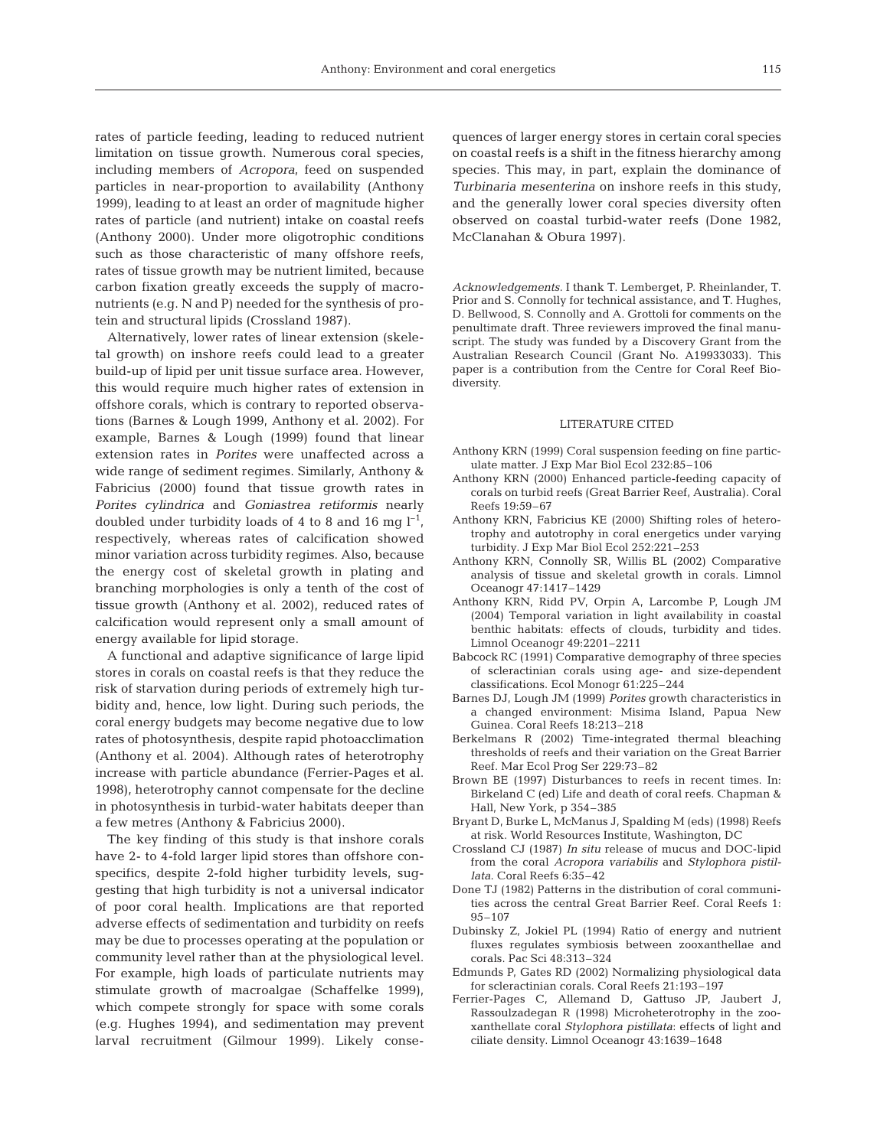rates of particle feeding, leading to reduced nutrient limitation on tissue growth. Numerous coral species, including members of *Acropora*, feed on suspended particles in near-proportion to availability (Anthony 1999), leading to at least an order of magnitude higher rates of particle (and nutrient) intake on coastal reefs (Anthony 2000). Under more oligotrophic conditions such as those characteristic of many offshore reefs, rates of tissue growth may be nutrient limited, because carbon fixation greatly exceeds the supply of macronutrients (e.g. N and P) needed for the synthesis of protein and structural lipids (Crossland 1987).

Alternatively, lower rates of linear extension (skeletal growth) on inshore reefs could lead to a greater build-up of lipid per unit tissue surface area. However, this would require much higher rates of extension in offshore corals, which is contrary to reported observations (Barnes & Lough 1999, Anthony et al. 2002). For example, Barnes & Lough (1999) found that linear extension rates in *Porites* were unaffected across a wide range of sediment regimes. Similarly, Anthony & Fabricius (2000) found that tissue growth rates in *Porites cylindrica* and *Goniastrea retiformis* nearly doubled under turbidity loads of 4 to 8 and 16 mg  $l^{-1}$ , respectively, whereas rates of calcification showed minor variation across turbidity regimes. Also, because the energy cost of skeletal growth in plating and branching morphologies is only a tenth of the cost of tissue growth (Anthony et al. 2002), reduced rates of calcification would represent only a small amount of energy available for lipid storage.

A functional and adaptive significance of large lipid stores in corals on coastal reefs is that they reduce the risk of starvation during periods of extremely high turbidity and, hence, low light. During such periods, the coral energy budgets may become negative due to low rates of photosynthesis, despite rapid photoacclimation (Anthony et al. 2004). Although rates of heterotrophy increase with particle abundance (Ferrier-Pages et al. 1998), heterotrophy cannot compensate for the decline in photosynthesis in turbid-water habitats deeper than a few metres (Anthony & Fabricius 2000).

The key finding of this study is that inshore corals have 2- to 4-fold larger lipid stores than offshore conspecifics, despite 2-fold higher turbidity levels, suggesting that high turbidity is not a universal indicator of poor coral health. Implications are that reported adverse effects of sedimentation and turbidity on reefs may be due to processes operating at the population or community level rather than at the physiological level. For example, high loads of particulate nutrients may stimulate growth of macroalgae (Schaffelke 1999), which compete strongly for space with some corals (e.g. Hughes 1994), and sedimentation may prevent larval recruitment (Gilmour 1999). Likely consequences of larger energy stores in certain coral species on coastal reefs is a shift in the fitness hierarchy among species. This may, in part, explain the dominance of *Turbinaria mesenterina* on inshore reefs in this study, and the generally lower coral species diversity often observed on coastal turbid-water reefs (Done 1982, McClanahan & Obura 1997).

*Acknowledgements.* I thank T. Lemberget, P. Rheinlander, T. Prior and S. Connolly for technical assistance, and T. Hughes, D. Bellwood, S. Connolly and A. Grottoli for comments on the penultimate draft. Three reviewers improved the final manuscript. The study was funded by a Discovery Grant from the Australian Research Council (Grant No. A19933033). This paper is a contribution from the Centre for Coral Reef Biodiversity.

#### LITERATURE CITED

- Anthony KRN (1999) Coral suspension feeding on fine particulate matter. J Exp Mar Biol Ecol 232:85–106
- Anthony KRN (2000) Enhanced particle-feeding capacity of corals on turbid reefs (Great Barrier Reef, Australia). Coral Reefs 19:59–67
- Anthony KRN, Fabricius KE (2000) Shifting roles of heterotrophy and autotrophy in coral energetics under varying turbidity. J Exp Mar Biol Ecol 252:221–253
- Anthony KRN, Connolly SR, Willis BL (2002) Comparative analysis of tissue and skeletal growth in corals. Limnol Oceanogr 47:1417–1429
- Anthony KRN, Ridd PV, Orpin A, Larcombe P, Lough JM (2004) Temporal variation in light availability in coastal benthic habitats: effects of clouds, turbidity and tides. Limnol Oceanogr 49:2201–2211
- Babcock RC (1991) Comparative demography of three species of scleractinian corals using age- and size-dependent classifications. Ecol Monogr 61:225–244
- Barnes DJ, Lough JM (1999) *Porites* growth characteristics in a changed environment: Misima Island, Papua New Guinea. Coral Reefs 18:213–218
- Berkelmans R (2002) Time-integrated thermal bleaching thresholds of reefs and their variation on the Great Barrier Reef. Mar Ecol Prog Ser 229:73–82
- Brown BE (1997) Disturbances to reefs in recent times. In: Birkeland C (ed) Life and death of coral reefs. Chapman & Hall, New York, p 354–385
- Bryant D, Burke L, McManus J, Spalding M (eds) (1998) Reefs at risk. World Resources Institute, Washington, DC
- Crossland CJ (1987) *In situ* release of mucus and DOC-lipid from the coral *Acropora variabilis* and *Stylophora pistillata*. Coral Reefs 6:35–42
- Done TJ (1982) Patterns in the distribution of coral communities across the central Great Barrier Reef. Coral Reefs 1: 95–107
- Dubinsky Z, Jokiel PL (1994) Ratio of energy and nutrient fluxes regulates symbiosis between zooxanthellae and corals. Pac Sci 48:313–324
- Edmunds P, Gates RD (2002) Normalizing physiological data for scleractinian corals. Coral Reefs 21:193–197
- Ferrier-Pages C, Allemand D, Gattuso JP, Jaubert J, Rassoulzadegan R (1998) Microheterotrophy in the zooxanthellate coral *Stylophora pistillata*: effects of light and ciliate density. Limnol Oceanogr 43:1639–1648